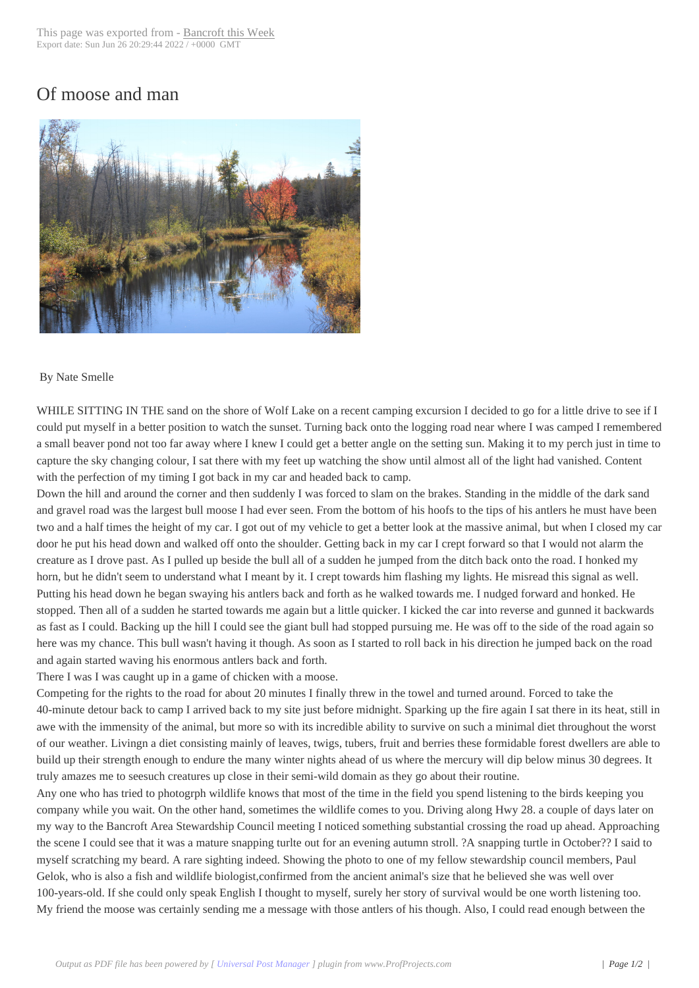## Of moose and man



## By Nate Smelle

WHILE SITTING IN THE sand on the shore of Wolf Lake on a recent camping excursion I decided to go for a little drive to see if I could put myself in a better position to watch the sunset. Turning back onto the logging road near where I was camped I remembered a small beaver pond not too far away where I knew I could get a better angle on the setting sun. Making it to my perch just in time to capture the sky changing colour, I sat there with my feet up watching the show until almost all of the light had vanished. Content with the perfection of my timing I got back in my car and headed back to camp.

Down the hill and around the corner and then suddenly I was forced to slam on the brakes. Standing in the middle of the dark sand and gravel road was the largest bull moose I had ever seen. From the bottom of his hoofs to the tips of his antlers he must have been two and a half times the height of my car. I got out of my vehicle to get a better look at the massive animal, but when I closed my car door he put his head down and walked off onto the shoulder. Getting back in my car I crept forward so that I would not alarm the creature as I drove past. As I pulled up beside the bull all of a sudden he jumped from the ditch back onto the road. I honked my horn, but he didn't seem to understand what I meant by it. I crept towards him flashing my lights. He misread this signal as well. Putting his head down he began swaying his antlers back and forth as he walked towards me. I nudged forward and honked. He stopped. Then all of a sudden he started towards me again but a little quicker. I kicked the car into reverse and gunned it backwards as fast as I could. Backing up the hill I could see the giant bull had stopped pursuing me. He was off to the side of the road again so here was my chance. This bull wasn't having it though. As soon as I started to roll back in his direction he jumped back on the road and again started waving his enormous antlers back and forth.

There I was I was caught up in a game of chicken with a moose.

Competing for the rights to the road for about 20 minutes I finally threw in the towel and turned around. Forced to take the 40-minute detour back to camp I arrived back to my site just before midnight. Sparking up the fire again I sat there in its heat, still in awe with the immensity of the animal, but more so with its incredible ability to survive on such a minimal diet throughout the worst of our weather. Livingn a diet consisting mainly of leaves, twigs, tubers, fruit and berries these formidable forest dwellers are able to build up their strength enough to endure the many winter nights ahead of us where the mercury will dip below minus 30 degrees. It truly amazes me to seesuch creatures up close in their semi-wild domain as they go about their routine.

Any one who has tried to photogrph wildlife knows that most of the time in the field you spend listening to the birds keeping you company while you wait. On the other hand, sometimes the wildlife comes to you. Driving along Hwy 28. a couple of days later on my way to the Bancroft Area Stewardship Council meeting I noticed something substantial crossing the road up ahead. Approaching the scene I could see that it was a mature snapping turlte out for an evening autumn stroll. ?A snapping turtle in October?? I said to myself scratching my beard. A rare sighting indeed. Showing the photo to one of my fellow stewardship council members, Paul Gelok, who is also a fish and wildlife biologist,confirmed from the ancient animal's size that he believed she was well over 100-years-old. If she could only speak English I thought to myself, surely her story of survival would be one worth listening too. My friend the moose was certainly sending me a message with those antlers of his though. Also, I could read enough between the